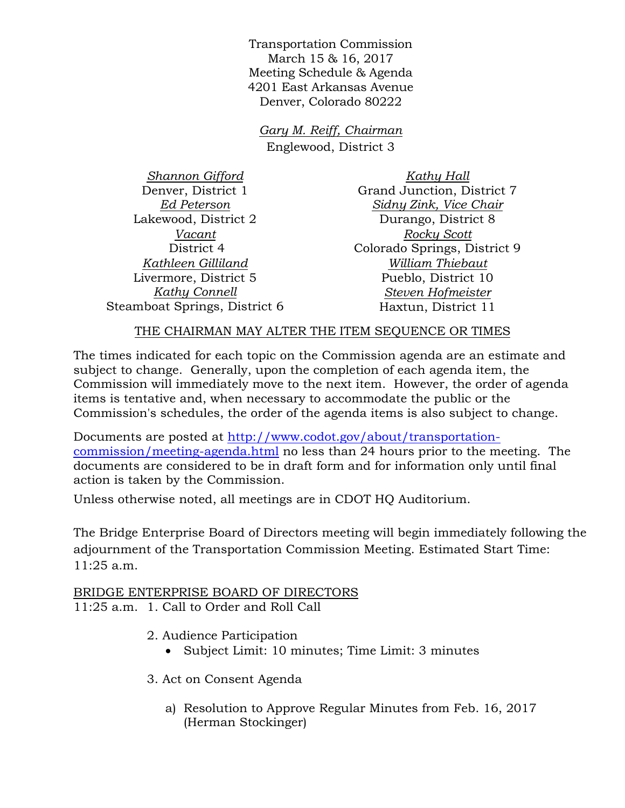Transportation Commission March 15 & 16, 2017 Meeting Schedule & Agenda 4201 East Arkansas Avenue Denver, Colorado 80222

*Gary M. Reiff, Chairman* Englewood, District 3

*Shannon Gifford* Denver, District 1 *Ed Peterson* Lakewood, District 2 *Vacant* District 4 *Kathleen Gilliland* Livermore, District 5 *Kathy Connell* Steamboat Springs, District 6

*Kathy Hall* Grand Junction, District 7 *Sidny Zink, Vice Chair* Durango, District 8 *Rocky Scott* Colorado Springs, District 9 *William Thiebaut* Pueblo, District 10 *Steven Hofmeister* Haxtun, District 11

## THE CHAIRMAN MAY ALTER THE ITEM SEQUENCE OR TIMES

The times indicated for each topic on the Commission agenda are an estimate and subject to change. Generally, upon the completion of each agenda item, the Commission will immediately move to the next item. However, the order of agenda items is tentative and, when necessary to accommodate the public or the Commission's schedules, the order of the agenda items is also subject to change.

Documents are posted at http://www.codot.gov/about/transportationcommission/meeting-agenda.html no less than 24 hours prior to the meeting. The documents are considered to be in draft form and for information only until final action is taken by the Commission.

Unless otherwise noted, all meetings are in CDOT HQ Auditorium.

The Bridge Enterprise Board of Directors meeting will begin immediately following the adjournment of the Transportation Commission Meeting. Estimated Start Time: 11:25 a.m.

BRIDGE ENTERPRISE BOARD OF DIRECTORS 11:25 a.m. 1. Call to Order and Roll Call

- 2. Audience Participation
	- Subject Limit: 10 minutes; Time Limit: 3 minutes
- 3. Act on Consent Agenda
	- a) Resolution to Approve Regular Minutes from Feb. 16, 2017 (Herman Stockinger)